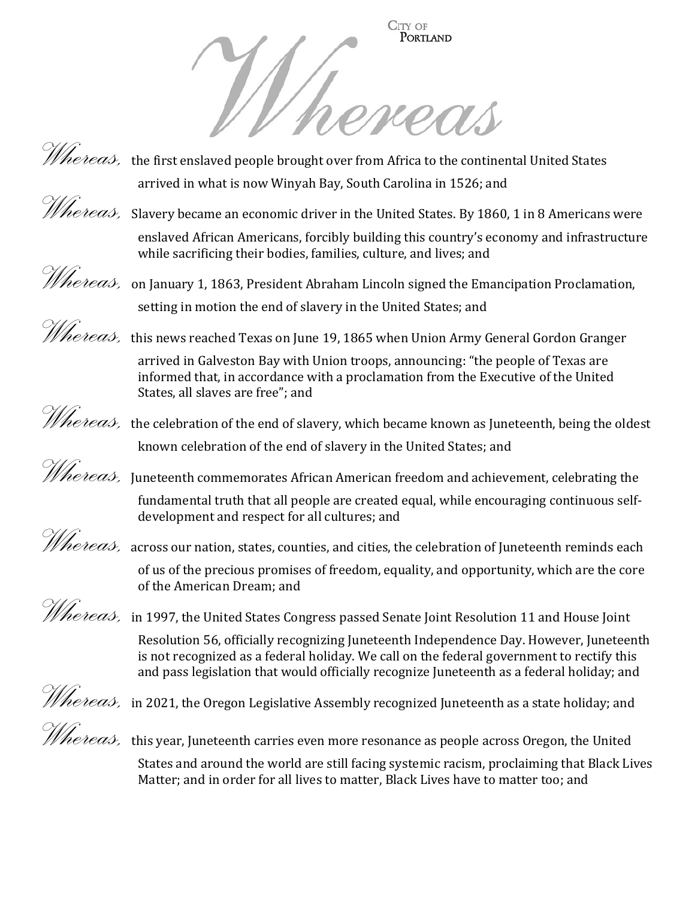



*Whereas*, the first enslaved people brought over from Africa to the continental United States arrived in what is now Winyah Bay, South Carolina in 1526; and



*hereas*, Slavery became an economic driver in the United States. By 1860, 1 in 8 Americans were enslaved African Americans, forcibly building this country's economy and infrastructure while sacrificing their bodies, families, culture, and lives; and



setting in motion the end of slavery in the United States; and *Whereas,* this news reached Texas on June 19, 1865 when Union Army General Gordon Granger arrived in Galveston Bay with Union troops, announcing: "the people of Texas are

informed that, in accordance with a proclamation from the Executive of the United States, all slaves are free"; and



*Whereas,* the celebration of the end of slavery, which became known as Juneteenth, being the oldest known celebration of the end of slavery in the United States; and

*Whereas*, Juneteenth commemorates African American freedom and achievement, celebrating the fundamental truth that all people are created equal, while encouraging continuous selfdevelopment and respect for all cultures; and

*Whereas*, across our nation, states, counties, and cities, the celebration of Juneteenth reminds each of us of the precious promises of freedom, equality, and opportunity, which are the core of the American Dream; and

 $\hat{\mathcal{W}}$ ereas, in 1997, the United States Congress passed Senate Joint Resolution 11 and House Joint Resolution 56, officially recognizing Juneteenth Independence Day. However, Juneteenth is not recognized as a federal holiday. We call on the federal government to rectify this and pass legislation that would officially recognize Juneteenth as a federal holiday; and

*Whereas,* in 2021, the Oregon Legislative Assembly recognized Juneteenth as a state holiday; and

*Whereas*, this year, Juneteenth carries even more resonance as people across Oregon, the United States and around the world are still facing systemic racism, proclaiming that Black Lives Matter; and in order for all lives to matter, Black Lives have to matter too; and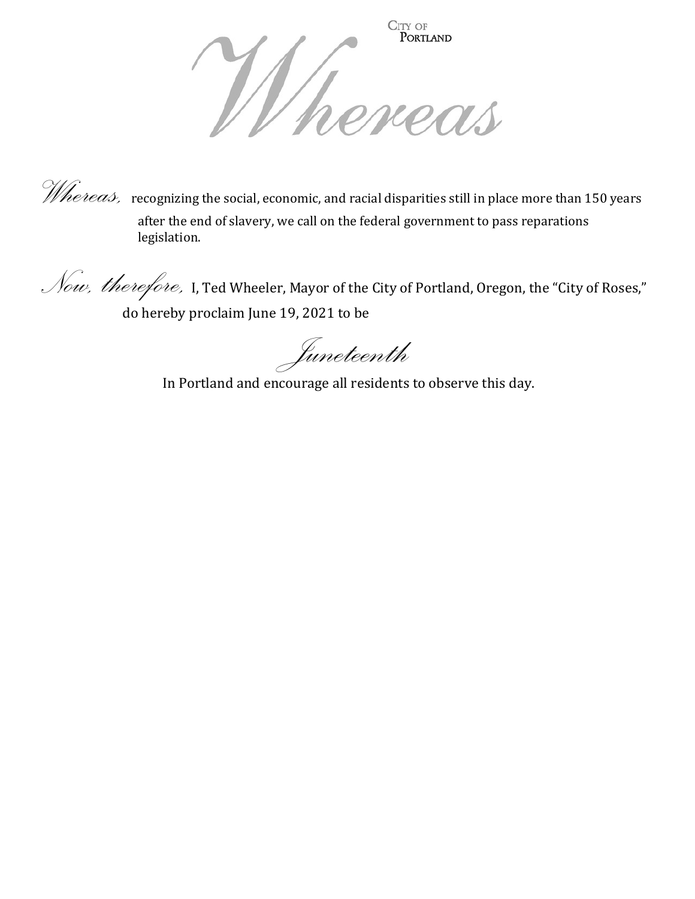

*Whereas*, recognizing the social, economic, and racial disparities still in place more than 150 years after the end of slavery, we call on the federal government to pass reparations legislation.

Now, therefore, I, Ted Wheeler, Mayor of the City of Portland, Oregon, the "City of Roses," do hereby proclaim June 19, 2021 to be

Juneteenth

In Portland and encourage all residents to observe this day.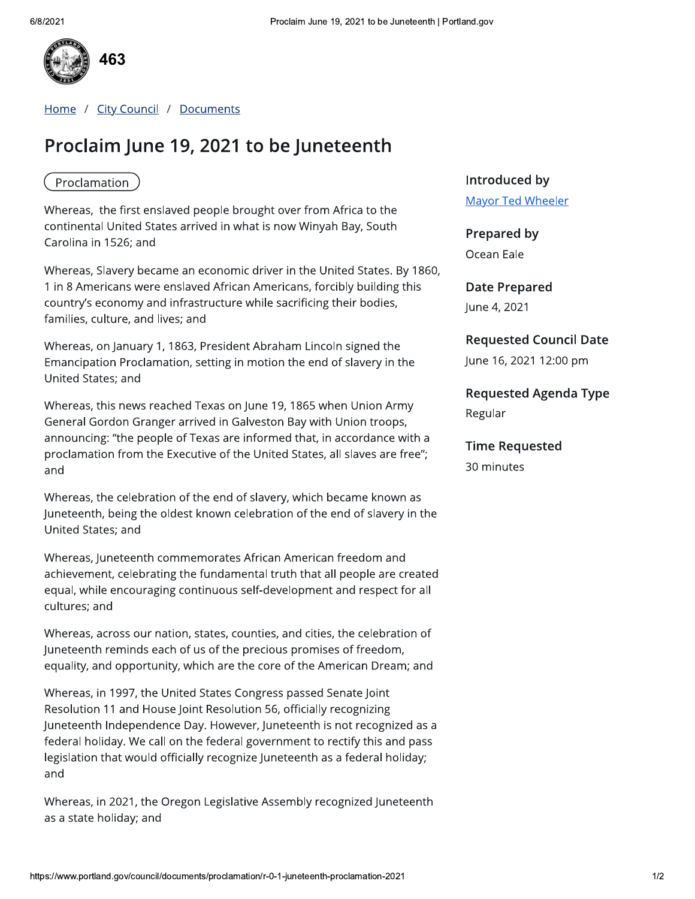

Home / City Council / Documents

# Proclaim June 19, 2021 to be Juneteenth

#### Proclamation

Whereas, the first enslaved people brought over from Africa to the continental United States arrived in what is now Winyah Bay, South Carolina in 1526; and

Whereas, Slavery became an economic driver in the United States. By 1860, 1 in 8 Americans were enslaved African Americans, forcibly building this country's economy and infrastructure while sacrificing their bodies, families, culture, and lives; and

Whereas, on January 1, 1863, President Abraham Lincoln signed the Emancipation Proclamation, setting in motion the end of slavery in the United States: and

Whereas, this news reached Texas on June 19, 1865 when Union Army General Gordon Granger arrived in Galveston Bay with Union troops, announcing: "the people of Texas are informed that, in accordance with a proclamation from the Executive of the United States, all slaves are free"; and

Whereas, the celebration of the end of slavery, which became known as Juneteenth, being the oldest known celebration of the end of slavery in the United States; and

Whereas, Juneteenth commemorates African American freedom and achievement, celebrating the fundamental truth that all people are created equal, while encouraging continuous self-development and respect for all cultures; and

Whereas, across our nation, states, counties, and cities, the celebration of Juneteenth reminds each of us of the precious promises of freedom, equality, and opportunity, which are the core of the American Dream; and

Whereas, in 1997, the United States Congress passed Senate Joint Resolution 11 and House Joint Resolution 56, officially recognizing Juneteenth Independence Day. However, Juneteenth is not recognized as a federal holiday. We call on the federal government to rectify this and pass legislation that would officially recognize Juneteenth as a federal holiday; and

Whereas, in 2021, the Oregon Legislative Assembly recognized Juneteenth as a state holiday; and

#### Introduced by

**Mayor Ted Wheeler** 

Prepared by Ocean Eale

**Date Prepared** June 4, 2021

#### **Requested Council Date**

June 16, 2021 12:00 pm

**Requested Agenda Type** Regular

**Time Requested** 

30 minutes